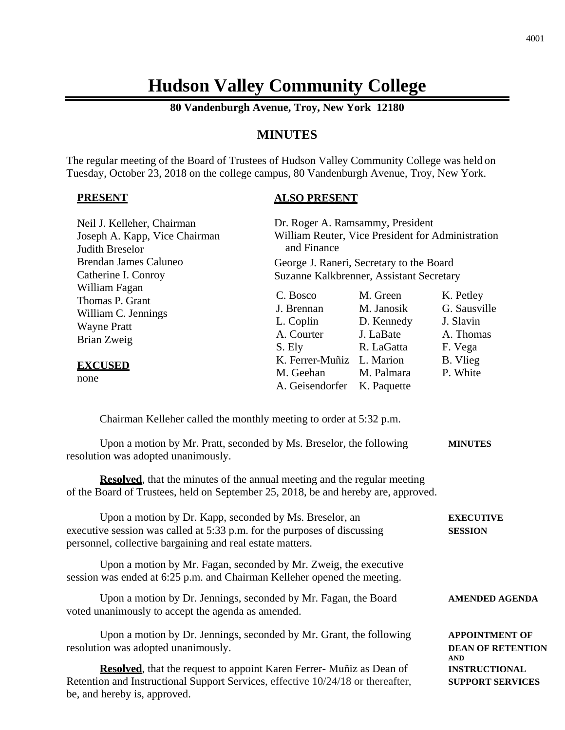# **Hudson Valley Community College**

**80 Vandenburgh Avenue, Troy, New York 12180** 

# **MINUTES**

The regular meeting of the Board of Trustees of Hudson Valley Community College was held on Tuesday, October 23, 2018 on the college campus, 80 Vandenburgh Avenue, Troy, New York.

#### **PRESENT**

be, and hereby is, approved.

### **ALSO PRESENT**

| Neil J. Kelleher, Chairman<br>Joseph A. Kapp, Vice Chairman<br>Judith Breselor<br><b>Brendan James Caluneo</b><br>Catherine I. Conroy                                                                                                                                                                                                                      | Dr. Roger A. Ramsammy, President<br>William Reuter, Vice President for Administration<br>and Finance<br>George J. Raneri, Secretary to the Board<br>Suzanne Kalkbrenner, Assistant Secretary |                                                                               |                                                                                                                    |  |
|------------------------------------------------------------------------------------------------------------------------------------------------------------------------------------------------------------------------------------------------------------------------------------------------------------------------------------------------------------|----------------------------------------------------------------------------------------------------------------------------------------------------------------------------------------------|-------------------------------------------------------------------------------|--------------------------------------------------------------------------------------------------------------------|--|
| William Fagan<br>Thomas P. Grant<br>William C. Jennings<br><b>Wayne Pratt</b><br><b>Brian Zweig</b><br><b>EXCUSED</b><br>none                                                                                                                                                                                                                              | C. Bosco<br>J. Brennan<br>L. Coplin<br>A. Courter<br>S. Ely<br>K. Ferrer-Muñiz L. Marion<br>M. Geehan<br>A. Geisendorfer K. Paquette                                                         | M. Green<br>M. Janosik<br>D. Kennedy<br>J. LaBate<br>R. LaGatta<br>M. Palmara | K. Petley<br>G. Sausville<br>J. Slavin<br>A. Thomas<br>F. Vega<br>B. Vlieg<br>P. White                             |  |
| Chairman Kelleher called the monthly meeting to order at 5:32 p.m.<br>Upon a motion by Mr. Pratt, seconded by Ms. Breselor, the following<br>resolution was adopted unanimously.<br><b>Resolved</b> , that the minutes of the annual meeting and the regular meeting<br>of the Board of Trustees, held on September 25, 2018, be and hereby are, approved. |                                                                                                                                                                                              |                                                                               | <b>MINUTES</b>                                                                                                     |  |
| Upon a motion by Dr. Kapp, seconded by Ms. Breselor, an<br>executive session was called at 5:33 p.m. for the purposes of discussing<br>personnel, collective bargaining and real estate matters.<br>Upon a motion by Mr. Fagan, seconded by Mr. Zweig, the executive                                                                                       |                                                                                                                                                                                              |                                                                               | <b>EXECUTIVE</b><br><b>SESSION</b>                                                                                 |  |
| session was ended at 6:25 p.m. and Chairman Kelleher opened the meeting.<br>Upon a motion by Dr. Jennings, seconded by Mr. Fagan, the Board<br>voted unanimously to accept the agenda as amended.                                                                                                                                                          |                                                                                                                                                                                              |                                                                               | <b>AMENDED AGENDA</b>                                                                                              |  |
| Upon a motion by Dr. Jennings, seconded by Mr. Grant, the following<br>resolution was adopted unanimously.<br>Resolved, that the request to appoint Karen Ferrer-Muñiz as Dean of<br>Retention and Instructional Support Services, effective 10/24/18 or thereafter,                                                                                       |                                                                                                                                                                                              |                                                                               | <b>APPOINTMENT OF</b><br><b>DEAN OF RETENTION</b><br><b>AND</b><br><b>INSTRUCTIONAL</b><br><b>SUPPORT SERVICES</b> |  |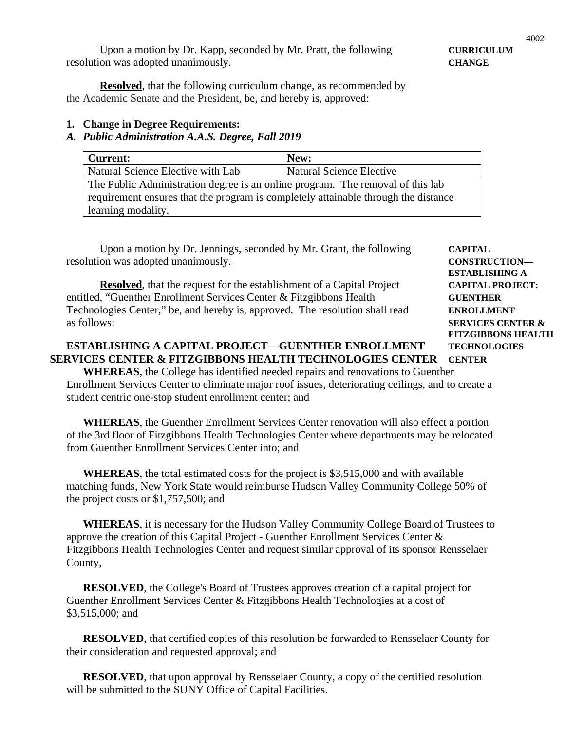Upon a motion by Dr. Kapp, seconded by Mr. Pratt, the following **CURRICULUM** resolution was adopted unanimously. **CHANGE** 

**Resolved**, that the following curriculum change, as recommended by the Academic Senate and the President, be, and hereby is, approved:

#### **1. Change in Degree Requirements:**

#### *A. Public Administration A.A.S. Degree, Fall 2019*

| <b>Current:</b>                                                                    | New:                            |  |  |  |
|------------------------------------------------------------------------------------|---------------------------------|--|--|--|
| Natural Science Elective with Lab                                                  | <b>Natural Science Elective</b> |  |  |  |
| The Public Administration degree is an online program. The removal of this lab     |                                 |  |  |  |
| requirement ensures that the program is completely attainable through the distance |                                 |  |  |  |
| learning modality.                                                                 |                                 |  |  |  |

Upon a motion by Dr. Jennings, seconded by Mr. Grant, the following **CAPITAL** resolution was adopted unanimously. **CONSTRUCTION—** 

**Resolved**, that the request for the establishment of a Capital Project **CAPITAL PROJECT:**  entitled, "Guenther Enrollment Services Center & Fitzgibbons Health **GUENTHER** Technologies Center," be, and hereby is, approved. The resolution shall read **ENROLLMENT**  as follows: **SERVICES CENTER &** 

## **ESTABLISHING A CAPITAL PROJECT—GUENTHER ENROLLMENT TECHNOLOGIES SERVICES CENTER & FITZGIBBONS HEALTH TECHNOLOGIES CENTER CENTER**

**WHEREAS**, the College has identified needed repairs and renovations to Guenther Enrollment Services Center to eliminate major roof issues, deteriorating ceilings, and to create a student centric one-stop student enrollment center; and

**WHEREAS**, the Guenther Enrollment Services Center renovation will also effect a portion of the 3rd floor of Fitzgibbons Health Technologies Center where departments may be relocated from Guenther Enrollment Services Center into; and

**WHEREAS**, the total estimated costs for the project is \$3,515,000 and with available matching funds, New York State would reimburse Hudson Valley Community College 50% of the project costs or \$1,757,500; and

**WHEREAS**, it is necessary for the Hudson Valley Community College Board of Trustees to approve the creation of this Capital Project - Guenther Enrollment Services Center & Fitzgibbons Health Technologies Center and request similar approval of its sponsor Rensselaer County,

**RESOLVED**, the College's Board of Trustees approves creation of a capital project for Guenther Enrollment Services Center & Fitzgibbons Health Technologies at a cost of \$3,515,000; and

**RESOLVED**, that certified copies of this resolution be forwarded to Rensselaer County for their consideration and requested approval; and

**RESOLVED**, that upon approval by Rensselaer County, a copy of the certified resolution will be submitted to the SUNY Office of Capital Facilities.

 **ESTABLISHING A** 

**FITZGIBBONS HEALTH**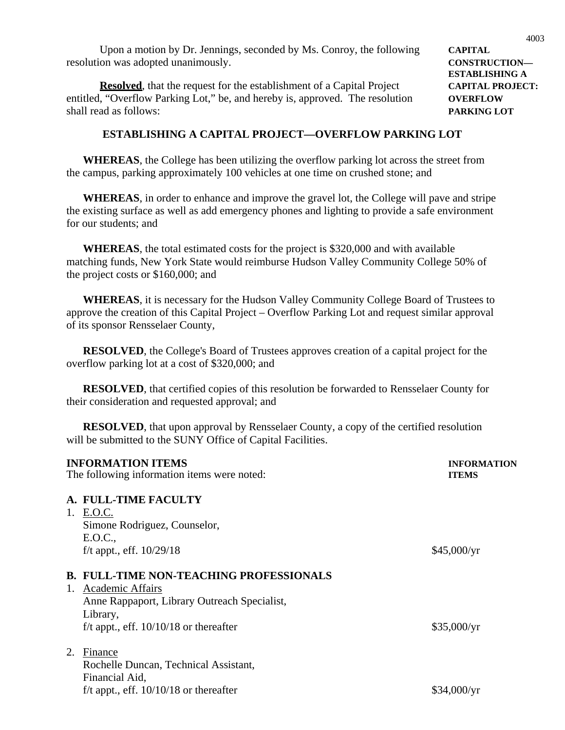Upon a motion by Dr. Jennings, seconded by Ms. Conroy, the following **CAPITAL**  resolution was adopted unanimously. **CONSTRUCTION—** 

**Resolved**, that the request for the establishment of a Capital Project **CAPITAL PROJECT:** entitled, "Overflow Parking Lot," be, and hereby is, approved. The resolution **OVERFLOW** shall read as follows: **PARKING LOT** 

#### **ESTABLISHING A CAPITAL PROJECT—OVERFLOW PARKING LOT**

**WHEREAS**, the College has been utilizing the overflow parking lot across the street from the campus, parking approximately 100 vehicles at one time on crushed stone; and

**WHEREAS**, in order to enhance and improve the gravel lot, the College will pave and stripe the existing surface as well as add emergency phones and lighting to provide a safe environment for our students; and

**WHEREAS**, the total estimated costs for the project is \$320,000 and with available matching funds, New York State would reimburse Hudson Valley Community College 50% of the project costs or \$160,000; and

**WHEREAS**, it is necessary for the Hudson Valley Community College Board of Trustees to approve the creation of this Capital Project – Overflow Parking Lot and request similar approval of its sponsor Rensselaer County,

**RESOLVED**, the College's Board of Trustees approves creation of a capital project for the overflow parking lot at a cost of \$320,000; and

**RESOLVED**, that certified copies of this resolution be forwarded to Rensselaer County for their consideration and requested approval; and

**RESOLVED**, that upon approval by Rensselaer County, a copy of the certified resolution will be submitted to the SUNY Office of Capital Facilities.

#### **INFORMATION ITEMS INFORMATION**

The following information items were noted: **ITEMS** 

#### **A. FULL-TIME FACULTY**

| 1. E.O.C.                    |             |
|------------------------------|-------------|
| Simone Rodriguez, Counselor, |             |
| E.O.C.,                      |             |
| f/t appt., eff. $10/29/18$   | \$45,000/yr |
|                              |             |

#### **B. FULL-TIME NON-TEACHING PROFESSIONALS**

| 1. Academic Affairs                          |             |
|----------------------------------------------|-------------|
| Anne Rappaport, Library Outreach Specialist, |             |
| Library,                                     |             |
| f/t appt., eff. $10/10/18$ or thereafter     | \$35,000/yr |
|                                              |             |

# 2. Finance

Rochelle Duncan, Technical Assistant, Financial Aid, f/t appt., eff.  $10/10/18$  or thereafter \$34,000/yr

 **ESTABLISHING A**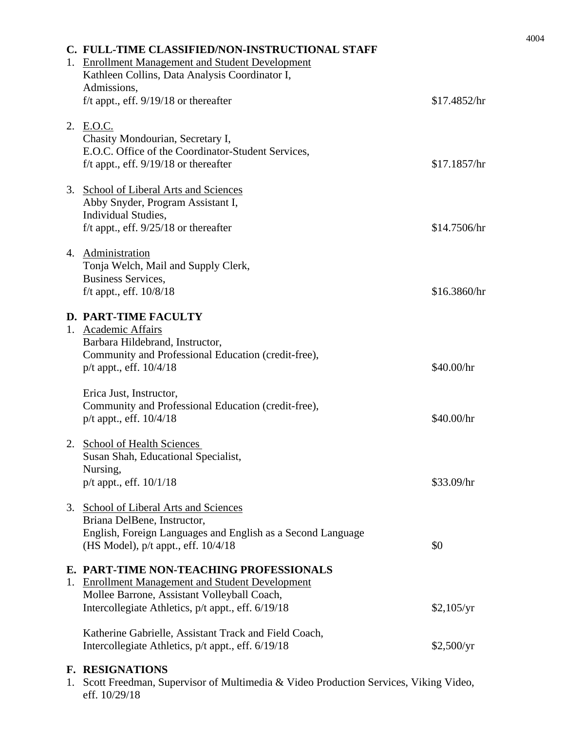| 1. | C. FULL-TIME CLASSIFIED/NON-INSTRUCTIONAL STAFF<br><b>Enrollment Management and Student Development</b> |              |
|----|---------------------------------------------------------------------------------------------------------|--------------|
|    | Kathleen Collins, Data Analysis Coordinator I,                                                          |              |
|    | Admissions,                                                                                             | \$17.4852/hr |
|    | f/t appt., eff. $9/19/18$ or thereafter                                                                 |              |
|    | 2. E.O.C.                                                                                               |              |
|    | Chasity Mondourian, Secretary I,                                                                        |              |
|    | E.O.C. Office of the Coordinator-Student Services,                                                      |              |
|    | f/t appt., eff. $9/19/18$ or thereafter                                                                 | \$17.1857/hr |
|    | 3. School of Liberal Arts and Sciences                                                                  |              |
|    | Abby Snyder, Program Assistant I,                                                                       |              |
|    | Individual Studies,                                                                                     |              |
|    | f/t appt., eff. $9/25/18$ or thereafter                                                                 | \$14.7506/hr |
|    | 4. Administration                                                                                       |              |
|    | Tonja Welch, Mail and Supply Clerk,                                                                     |              |
|    | <b>Business Services,</b>                                                                               |              |
|    | f/t appt., eff. $10/8/18$                                                                               | \$16.3860/hr |
|    | <b>D. PART-TIME FACULTY</b>                                                                             |              |
|    | 1. Academic Affairs                                                                                     |              |
|    | Barbara Hildebrand, Instructor,                                                                         |              |
|    | Community and Professional Education (credit-free),                                                     |              |
|    | $p/t$ appt., eff. $10/4/18$                                                                             | \$40.00/hr   |
|    | Erica Just, Instructor,                                                                                 |              |
|    | Community and Professional Education (credit-free),                                                     |              |
|    | $p/t$ appt., eff. $10/4/18$                                                                             | \$40.00/hr   |
|    | 2. School of Health Sciences                                                                            |              |
|    | Susan Shah, Educational Specialist,                                                                     |              |
|    | Nursing,                                                                                                |              |
|    | $p/t$ appt., eff. $10/1/18$                                                                             | \$33.09/hr   |
|    | 3. School of Liberal Arts and Sciences                                                                  |              |
|    | Briana DelBene, Instructor,                                                                             |              |
|    | English, Foreign Languages and English as a Second Language                                             |              |
|    | (HS Model), $p/t$ appt., eff. $10/4/18$                                                                 | \$0          |
|    | E. PART-TIME NON-TEACHING PROFESSIONALS                                                                 |              |
|    | 1. Enrollment Management and Student Development                                                        |              |
|    | Mollee Barrone, Assistant Volleyball Coach,                                                             |              |
|    | Intercollegiate Athletics, p/t appt., eff. 6/19/18                                                      | \$2,105/yr   |
|    | Katherine Gabrielle, Assistant Track and Field Coach,                                                   |              |
|    | Intercollegiate Athletics, p/t appt., eff. 6/19/18                                                      | \$2,500/yr   |
|    | F. RESIGNATIONS                                                                                         |              |

1. Scott Freedman, Supervisor of Multimedia & Video Production Services, Viking Video, eff. 10/29/18